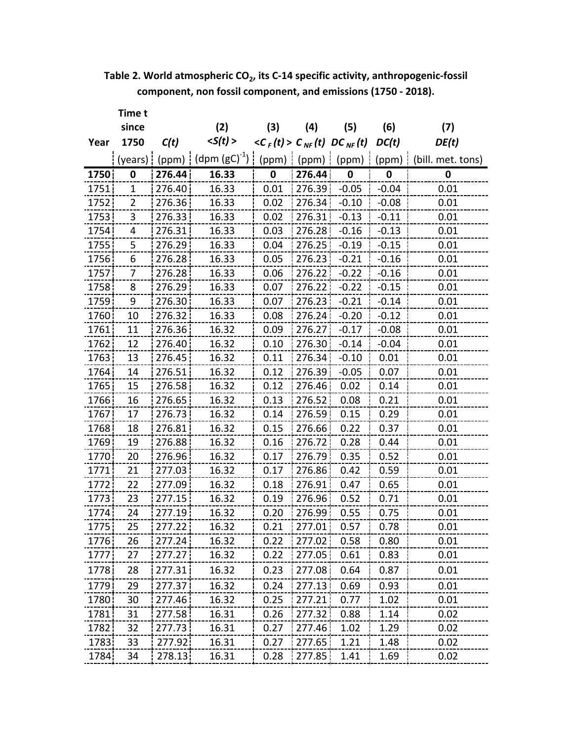**Table 2. World atmospheric CO2, its C‐14 specific activity, anthropogenic‐fossil component, non fossil component, and emissions (1750 ‐ 2018).**

|       | Time t      |        |                   |                                      |        |              |         |                   |
|-------|-------------|--------|-------------------|--------------------------------------|--------|--------------|---------|-------------------|
|       | since       |        | (2)               | (3)                                  | (4)    | (5)          | (6)     | (7)               |
| Year  | 1750        | C(t)   | < S(t) >          | $\langle C_F(t) > C_{NF}(t) \rangle$ |        | $DC_{NF}(t)$ | DC(t)   | DE(t)             |
|       | (years)     | (ppm)  | $(dpm (gC)^{-1})$ | (ppm)                                | (ppm)  | (ppm)        | (ppm)   | (bill. met. tons) |
| 1750  | 0           | 276.44 | 16.33             | 0                                    | 276.44 | $\bf{0}$     | 0       | 0                 |
| 1751  | $\mathbf 1$ | 276.40 | 16.33             | 0.01                                 | 276.39 | $-0.05$      | $-0.04$ | 0.01              |
| 1752  | 2           | 276.36 | 16.33             | 0.02                                 | 276.34 | $-0.10$      | $-0.08$ | 0.01              |
| 1753  | 3           | 276.33 | 16.33             | 0.02                                 | 276.31 | $-0.13$      | $-0.11$ | 0.01              |
| 1754  | 4           | 276.31 | 16.33             | 0.03                                 | 276.28 | $-0.16$      | $-0.13$ | 0.01              |
| 1755  | 5           | 276.29 | 16.33             | 0.04                                 | 276.25 | $-0.19$      | $-0.15$ | 0.01              |
| 1756  | 6           | 276.28 | 16.33             | 0.05                                 | 276.23 | $-0.21$      | $-0.16$ | 0.01              |
| 1757  | 7           | 276.28 | 16.33             | 0.06                                 | 276.22 | $-0.22$      | $-0.16$ | 0.01              |
| 1758  | 8           | 276.29 | 16.33             | 0.07                                 | 276.22 | $-0.22$      | $-0.15$ | 0.01              |
| 1759  | 9           | 276.30 | 16.33             | 0.07                                 | 276.23 | $-0.21$      | $-0.14$ | 0.01              |
| 1760  | 10          | 276.32 | 16.33             | 0.08                                 | 276.24 | $-0.20$      | $-0.12$ | 0.01              |
| 1761  | 11          | 276.36 | 16.32             | 0.09                                 | 276.27 | $-0.17$      | $-0.08$ | 0.01              |
| 1762  | 12          | 276.40 | 16.32             | 0.10                                 | 276.30 | $-0.14$      | $-0.04$ | 0.01              |
| 1763  | 13          | 276.45 | 16.32             | 0.11                                 | 276.34 | $-0.10$      | 0.01    | 0.01              |
| 1764  | 14          | 276.51 | 16.32             | 0.12                                 | 276.39 | $-0.05$      | 0.07    | 0.01              |
| 1765  | 15          | 276.58 | 16.32             | 0.12                                 | 276.46 | 0.02         | 0.14    | 0.01              |
| 1766  | 16          | 276.65 | 16.32             | 0.13                                 | 276.52 | 0.08         | 0.21    | 0.01              |
| 1767  | 17          | 276.73 | 16.32             | 0.14                                 | 276.59 | 0.15         | 0.29    | 0.01              |
| 1768  | 18          | 276.81 | 16.32             | 0.15                                 | 276.66 | 0.22         | 0.37    | 0.01              |
| 1769  | 19          | 276.88 | 16.32             | 0.16                                 | 276.72 | 0.28         | 0.44    | 0.01              |
| 1770  | 20          | 276.96 | 16.32             | 0.17                                 | 276.79 | 0.35         | 0.52    | 0.01              |
| 1771  | 21          | 277.03 | 16.32             | 0.17                                 | 276.86 | 0.42         | 0.59    | 0.01              |
| 1772  | 22          | 277.09 | 16.32             | 0.18                                 | 276.91 | 0.47         | 0.65    | 0.01              |
| 1773  | 23          | 277.15 | 16.32             | 0.19                                 | 276.96 | 0.52         | 0.71    | 0.01              |
| 1774  | 24          | 277.19 | 16.32             | 0.20                                 | 276.99 | 0.55         | 0.75    | 0.01              |
| 1775¦ | 25          | 277.22 | 16.32             | 0.21                                 | 277.01 | 0.57         | 0.78    | 0.01              |
| 1776  | 26          | 277.24 | 16.32             | 0.22                                 | 277.02 | 0.58         | 0.80    | 0.01              |
| 1777  | 27          | 277.27 | 16.32             | 0.22                                 | 277.05 | 0.61         | 0.83    | 0.01              |
| 1778  | 28          | 277.31 | 16.32             | 0.23                                 | 277.08 | 0.64         | 0.87    | 0.01              |
| 1779  | 29          | 277.37 | 16.32             | 0.24                                 | 277.13 | 0.69         | 0.93    | 0.01              |
| 1780  | 30          | 277.46 | 16.32             | 0.25                                 | 277.21 | 0.77         | 1.02    | 0.01              |
| 1781  | 31          | 277.58 | 16.31             | 0.26                                 | 277.32 | 0.88         | 1.14    | 0.02              |
| 1782  | 32          | 277.73 | 16.31             | 0.27                                 | 277.46 | 1.02         | 1.29    | 0.02              |
| 1783  | 33          | 277.92 | 16.31             | 0.27                                 | 277.65 | 1.21         | 1.48    | 0.02              |
| 1784  | 34          | 278.13 | 16.31             | 0.28                                 | 277.85 | 1.41         | 1.69    | 0.02              |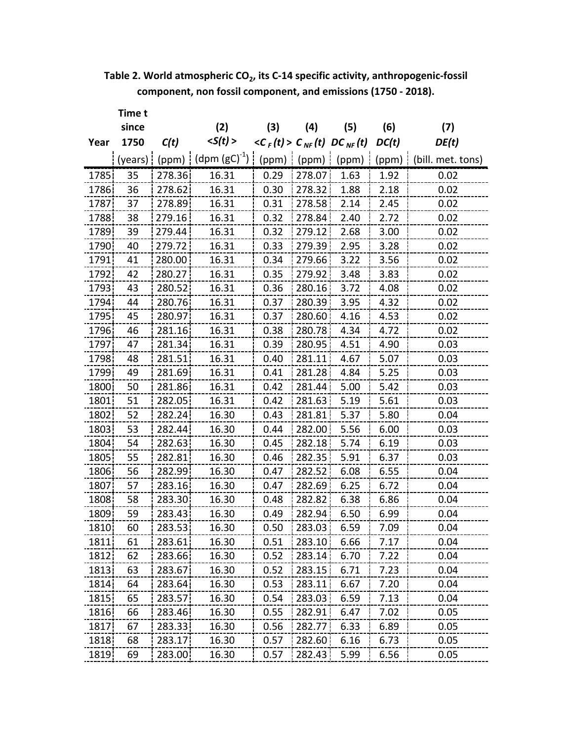**Table 2. World atmospheric CO2, its C‐14 specific activity, anthropogenic‐fossil component, non fossil component, and emissions (1750 ‐ 2018).**

|       | Time t  |        |                         |                                      |        |              |       |                   |
|-------|---------|--------|-------------------------|--------------------------------------|--------|--------------|-------|-------------------|
|       | since   |        | (2)                     | (3)                                  | (4)    | (5)          | (6)   | (7)               |
| Year  | 1750    | C(t)   | < S(t) >                | $\langle C_{F}(t) \rangle C_{NF}(t)$ |        | $DC_{NF}(t)$ | DC(t) | DE(t)             |
|       | (years) |        | (ppm) $(dpm (gC)^{-1})$ | (ppm)                                | (ppm)  | (ppm)        | (ppm) | (bill. met. tons) |
| 1785  | 35      | 278.36 | 16.31                   | 0.29                                 | 278.07 | 1.63         | 1.92  | 0.02              |
| 1786  | 36      | 278.62 | 16.31                   | 0.30                                 | 278.32 | 1.88         | 2.18  | 0.02              |
| 1787  | 37      | 278.89 | 16.31                   | 0.31                                 | 278.58 | 2.14         | 2.45  | 0.02              |
| 1788  | 38      | 279.16 | 16.31                   | 0.32                                 | 278.84 | 2.40         | 2.72  | 0.02              |
| 1789  | 39      | 279.44 | 16.31                   | 0.32                                 | 279.12 | 2.68         | 3.00  | 0.02              |
| 1790  | 40      | 279.72 | 16.31                   | 0.33                                 | 279.39 | 2.95         | 3.28  | 0.02              |
| 1791  | 41      | 280.00 | 16.31                   | 0.34                                 | 279.66 | 3.22         | 3.56  | 0.02              |
| 1792  | 42      | 280.27 | 16.31                   | 0.35                                 | 279.92 | 3.48         | 3.83  | 0.02              |
| 1793  | 43      | 280.52 | 16.31                   | 0.36                                 | 280.16 | 3.72         | 4.08  | 0.02              |
| 1794  | 44      | 280.76 | 16.31                   | 0.37                                 | 280.39 | 3.95         | 4.32  | 0.02              |
| 1795  | 45      | 280.97 | 16.31                   | 0.37                                 | 280.60 | 4.16         | 4.53  | 0.02              |
| 1796  | 46      | 281.16 | 16.31                   | 0.38                                 | 280.78 | 4.34         | 4.72  | 0.02              |
| 1797  | 47      | 281.34 | 16.31                   | 0.39                                 | 280.95 | 4.51         | 4.90  | 0.03              |
| 1798  | 48      | 281.51 | 16.31                   | 0.40                                 | 281.11 | 4.67         | 5.07  | 0.03              |
| 1799  | 49      | 281.69 | 16.31                   | 0.41                                 | 281.28 | 4.84         | 5.25  | 0.03              |
| 1800  | 50      | 281.86 | 16.31                   | 0.42                                 | 281.44 | 5.00         | 5.42  | 0.03              |
| 1801  | 51      | 282.05 | 16.31                   | 0.42                                 | 281.63 | 5.19         | 5.61  | 0.03              |
| 1802  | 52      | 282.24 | 16.30                   | 0.43                                 | 281.81 | 5.37         | 5.80  | 0.04              |
| 1803  | 53      | 282.44 | 16.30                   | 0.44                                 | 282.00 | 5.56         | 6.00  | 0.03              |
| 1804  | 54      | 282.63 | 16.30                   | 0.45                                 | 282.18 | 5.74         | 6.19  | 0.03              |
| 1805  | 55      | 282.81 | 16.30                   | 0.46                                 | 282.35 | 5.91         | 6.37  | 0.03              |
| 1806  | 56      | 282.99 | 16.30                   | 0.47                                 | 282.52 | 6.08         | 6.55  | 0.04              |
| 1807  | 57      | 283.16 | 16.30                   | 0.47                                 | 282.69 | 6.25         | 6.72  | 0.04              |
| 1808  | 58      | 283.30 | 16.30                   | 0.48                                 | 282.82 | 6.38         | 6.86  | 0.04              |
| 1809  | 59      | 283.43 | 16.30                   | 0.49                                 | 282.94 | 6.50         | 6.99  | 0.04              |
| 1810¦ | bυ      | 283.53 | 16.30                   | 0.50                                 | 283.03 | 6.59         | 7.09  | 0.04              |
| 1811  | 61      | 283.61 | 16.30                   | 0.51                                 | 283.10 | 6.66         | 7.17  | 0.04              |
| 1812  | 62      | 283.66 | 16.30                   | 0.52                                 | 283.14 | 6.70         | 7.22  | 0.04              |
| 1813  | 63      | 283.67 | 16.30                   | 0.52                                 | 283.15 | 6.71         | 7.23  | 0.04              |
| 1814  | 64      | 283.64 | 16.30                   | 0.53                                 | 283.11 | 6.67         | 7.20  | 0.04              |
| 1815  | 65      | 283.57 | 16.30                   | 0.54                                 | 283.03 | 6.59         | 7.13  | 0.04              |
| 1816  | 66      | 283.46 | 16.30                   | 0.55                                 | 282.91 | 6.47         | 7.02  | 0.05              |
| 1817  | 67      | 283.33 | 16.30                   | 0.56                                 | 282.77 | 6.33         | 6.89  | 0.05              |
| 1818  | 68      | 283.17 | 16.30                   | 0.57                                 | 282.60 | 6.16         | 6.73  | 0.05              |
| 1819  | 69      | 283.00 | 16.30                   | 0.57                                 | 282.43 | 5.99         | 6.56  | 0.05              |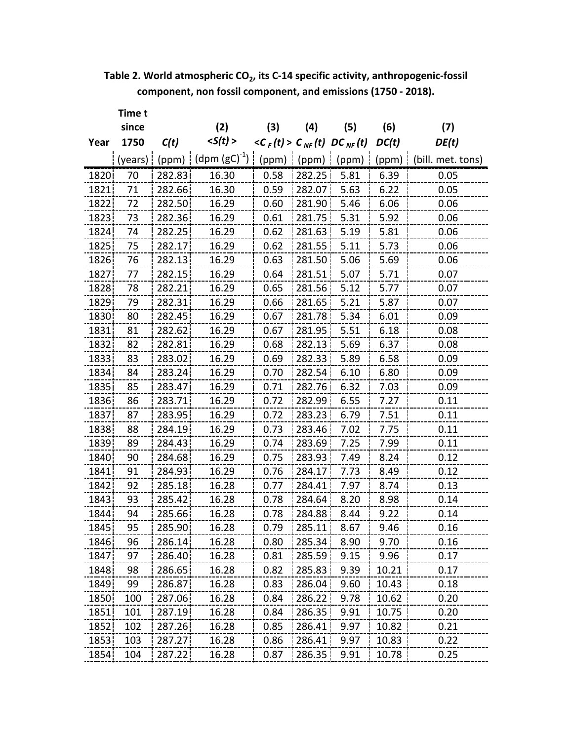**Table 2. World atmospheric CO2, its C‐14 specific activity, anthropogenic‐fossil component, non fossil component, and emissions (1750 ‐ 2018).**

|      | Time t  |        |                    |                                        |        |              |       |                   |
|------|---------|--------|--------------------|----------------------------------------|--------|--------------|-------|-------------------|
|      | since   |        | (2)                | (3)                                    | (4)    | (5)          | (6)   | (7)               |
| Year | 1750    | C(t)   | < S(t) >           | $\langle C_{F}(t) > C_{NF}(t) \rangle$ |        | $DC_{NF}(t)$ | DC(t) | DE(t)             |
|      | (years) | (ppm)  | (dpm $(gC)^{-1}$ ) | (ppm)                                  | (ppm)  | (ppm)        | (ppm) | (bill. met. tons) |
| 1820 | 70      | 282.83 | 16.30              | 0.58                                   | 282.25 | 5.81         | 6.39  | 0.05              |
| 1821 | 71      | 282.66 | 16.30              | 0.59                                   | 282.07 | 5.63         | 6.22  | 0.05              |
| 1822 | 72      | 282.50 | 16.29              | 0.60                                   | 281.90 | 5.46         | 6.06  | 0.06              |
| 1823 | 73      | 282.36 | 16.29              | 0.61                                   | 281.75 | 5.31         | 5.92  | 0.06              |
| 1824 | 74      | 282.25 | 16.29              | 0.62                                   | 281.63 | 5.19         | 5.81  | 0.06              |
| 1825 | 75      | 282.17 | 16.29              | 0.62                                   | 281.55 | 5.11         | 5.73  | 0.06              |
| 1826 | 76      | 282.13 | 16.29              | 0.63                                   | 281.50 | 5.06         | 5.69  | 0.06              |
| 1827 | 77      | 282.15 | 16.29              | 0.64                                   | 281.51 | 5.07         | 5.71  | 0.07              |
| 1828 | 78      | 282.21 | 16.29              | 0.65                                   | 281.56 | 5.12         | 5.77  | 0.07              |
| 1829 | 79      | 282.31 | 16.29              | 0.66                                   | 281.65 | 5.21         | 5.87  | 0.07              |
| 1830 | 80      | 282.45 | 16.29              | 0.67                                   | 281.78 | 5.34         | 6.01  | 0.09              |
| 1831 | 81      | 282.62 | 16.29              | 0.67                                   | 281.95 | 5.51         | 6.18  | 0.08              |
| 1832 | 82      | 282.81 | 16.29              | 0.68                                   | 282.13 | 5.69         | 6.37  | 0.08              |
| 1833 | 83      | 283.02 | 16.29              | 0.69                                   | 282.33 | 5.89         | 6.58  | 0.09              |
| 1834 | 84      | 283.24 | 16.29              | 0.70                                   | 282.54 | 6.10         | 6.80  | 0.09              |
| 1835 | 85      | 283.47 | 16.29              | 0.71                                   | 282.76 | 6.32         | 7.03  | 0.09              |
| 1836 | 86      | 283.71 | 16.29              | 0.72                                   | 282.99 | 6.55         | 7.27  | 0.11              |
| 1837 | 87      | 283.95 | 16.29              | 0.72                                   | 283.23 | 6.79         | 7.51  | 0.11              |
| 1838 | 88      | 284.19 | 16.29              | 0.73                                   | 283.46 | 7.02         | 7.75  | 0.11              |
| 1839 | 89      | 284.43 | 16.29              | 0.74                                   | 283.69 | 7.25         | 7.99  | 0.11              |
| 1840 | 90      | 284.68 | 16.29              | 0.75                                   | 283.93 | 7.49         | 8.24  | 0.12              |
| 1841 | 91      | 284.93 | 16.29              | 0.76                                   | 284.17 | 7.73         | 8.49  | 0.12              |
| 1842 | 92      | 285.18 | 16.28              | 0.77                                   | 284.41 | 7.97         | 8.74  | 0.13              |
| 1843 | 93      | 285.42 | 16.28              | 0.78                                   | 284.64 | 8.20         | 8.98  | 0.14              |
| 1844 | 94      | 285.66 | 16.28              | 0.78                                   | 284.88 | 8.44         | 9.22  | 0.14              |
| 1845 | 95      | 285.90 | 16.28              | 0.79                                   | 285.11 | 8.67         | 9.46  | 0.16              |
| 1846 | 96      | 286.14 | 16.28              | 0.80                                   | 285.34 | 8.90         | 9.70  | 0.16              |
| 1847 | 97      | 286.40 | 16.28              | 0.81                                   | 285.59 | 9.15         | 9.96  | 0.17              |
| 1848 | 98      | 286.65 | 16.28              | 0.82                                   | 285.83 | 9.39         | 10.21 | 0.17              |
| 1849 | 99      | 286.87 | 16.28              | 0.83                                   | 286.04 | 9.60         | 10.43 | 0.18              |
| 1850 | 100     | 287.06 | 16.28              | 0.84                                   | 286.22 | 9.78         | 10.62 | 0.20              |
| 1851 | 101     | 287.19 | 16.28              | 0.84                                   | 286.35 | 9.91         | 10.75 | 0.20              |
| 1852 | 102     | 287.26 | 16.28              | 0.85                                   | 286.41 | 9.97         | 10.82 | 0.21              |
| 1853 | 103     | 287.27 | 16.28              | 0.86                                   | 286.41 | 9.97         | 10.83 | 0.22              |
| 1854 | 104     | 287.22 | 16.28              | 0.87                                   | 286.35 | 9.91         | 10.78 | 0.25              |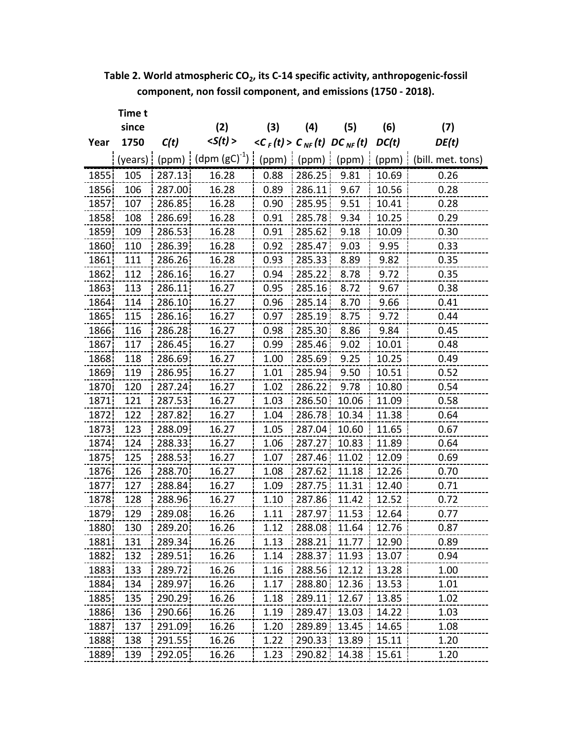| Table 2. World atmospheric CO <sub>2</sub> , its C-14 specific activity, anthropogenic-fossil |  |
|-----------------------------------------------------------------------------------------------|--|
| component, non fossil component, and emissions (1750 - 2018).                                 |  |

|      | Time t  |        |                   |                                      |                   |              |       |                   |
|------|---------|--------|-------------------|--------------------------------------|-------------------|--------------|-------|-------------------|
|      | since   |        | (2)               | (3)                                  | $\left( 4\right)$ | (5)          | (6)   | (7)               |
| Year | 1750    | C(t)   | < S(t) >          | $\langle C_{F}(t) \rangle C_{NF}(t)$ |                   | $DC_{NF}(t)$ | DC(t) | DE(t)             |
|      | (years) | (ppm)  | $(dpm (gC)^{-1})$ | (ppm)                                | (ppm)             | (ppm)        | (ppm) | (bill. met. tons) |
| 1855 | 105     | 287.13 | 16.28             | 0.88                                 | 286.25            | 9.81         | 10.69 | 0.26              |
| 1856 | 106     | 287.00 | 16.28             | 0.89                                 | 286.11            | 9.67         | 10.56 | 0.28              |
| 1857 | 107     | 286.85 | 16.28             | 0.90                                 | 285.95            | 9.51         | 10.41 | 0.28              |
| 1858 | 108     | 286.69 | 16.28             | 0.91                                 | 285.78            | 9.34         | 10.25 | 0.29              |
| 1859 | 109     | 286.53 | 16.28             | 0.91                                 | 285.62            | 9.18         | 10.09 | 0.30              |
| 1860 | 110     | 286.39 | 16.28             | 0.92                                 | 285.47            | 9.03         | 9.95  | 0.33              |
| 1861 | 111     | 286.26 | 16.28             | 0.93                                 | 285.33            | 8.89         | 9.82  | 0.35              |
| 1862 | 112     | 286.16 | 16.27             | 0.94                                 | 285.22            | 8.78         | 9.72  | 0.35              |
| 1863 | 113     | 286.11 | 16.27             | 0.95                                 | 285.16            | 8.72         | 9.67  | 0.38              |
| 1864 | 114     | 286.10 | 16.27             | 0.96                                 | 285.14            | 8.70         | 9.66  | 0.41              |
| 1865 | 115     | 286.16 | 16.27             | 0.97                                 | 285.19            | 8.75         | 9.72  | 0.44              |
| 1866 | 116     | 286.28 | 16.27             | 0.98                                 | 285.30            | 8.86         | 9.84  | 0.45              |
| 1867 | 117     | 286.45 | 16.27             | 0.99                                 | 285.46            | 9.02         | 10.01 | 0.48              |
| 1868 | 118     | 286.69 | 16.27             | 1.00                                 | 285.69            | 9.25         | 10.25 | 0.49              |
| 1869 | 119     | 286.95 | 16.27             | 1.01                                 | 285.94            | 9.50         | 10.51 | 0.52              |
| 1870 | 120     | 287.24 | 16.27             | 1.02                                 | 286.22            | 9.78         | 10.80 | 0.54              |
| 1871 | 121     | 287.53 | 16.27             | 1.03                                 | 286.50            | 10.06        | 11.09 | 0.58              |
| 1872 | 122     | 287.82 | 16.27             | 1.04                                 | 286.78            | 10.34        | 11.38 | 0.64              |
| 1873 | 123     | 288.09 | 16.27             | 1.05                                 | 287.04            | 10.60        | 11.65 | 0.67              |
| 1874 | 124     | 288.33 | 16.27             | 1.06                                 | 287.27            | 10.83        | 11.89 | 0.64              |
| 1875 | 125     | 288.53 | 16.27             | 1.07                                 | 287.46            | 11.02        | 12.09 | 0.69              |
| 1876 | 126     | 288.70 | 16.27             | 1.08                                 | 287.62            | 11.18        | 12.26 | 0.70              |
| 1877 | 127     | 288.84 | 16.27             | 1.09                                 | 287.75            | 11.31        | 12.40 | 0.71              |
| 1878 | 128     | 288.96 | 16.27             | 1.10                                 | 287.86            | 11.42        | 12.52 | 0.72              |
| 1879 | 129     | 289.08 | 16.26             | 1.11                                 | 287.97            | 11.53        | 12.64 | 0.77              |
| 1880 | 130     | 289.20 | 16.26             | 1.12                                 | 288.08            | 11.64        | 12.76 | 0.87              |
| 1881 | 131     | 289.34 | 16.26             | 1.13                                 | 288.21            | 11.77        | 12.90 | 0.89              |
| 1882 | 132     | 289.51 | 16.26             | 1.14                                 | 288.37            | 11.93        | 13.07 | 0.94              |
| 1883 | 133     | 289.72 | 16.26             | 1.16                                 | 288.56            | 12.12        | 13.28 | 1.00              |
| 1884 | 134     | 289.97 | 16.26             | 1.17                                 | 288.80            | 12.36        | 13.53 | 1.01              |
| 1885 | 135     | 290.29 | 16.26             | 1.18                                 | 289.11            | 12.67        | 13.85 | 1.02              |
| 1886 | 136     | 290.66 | 16.26             | 1.19                                 | 289.47            | 13.03        | 14.22 | 1.03              |
| 1887 | 137     | 291.09 | 16.26             | 1.20                                 | 289.89            | 13.45        | 14.65 | 1.08              |
| 1888 | 138     | 291.55 | 16.26             | 1.22                                 | 290.33            | 13.89        | 15.11 | 1.20              |
| 1889 | 139     | 292.05 | 16.26             | 1.23                                 | 290.82            | 14.38        | 15.61 | 1.20              |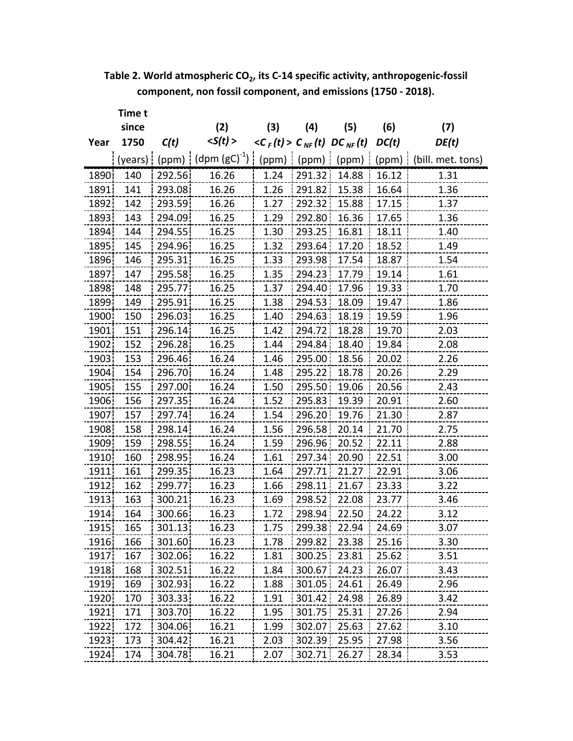**Table 2. World atmospheric CO2, its C‐14 specific activity, anthropogenic‐fossil component, non fossil component, and emissions (1750 ‐ 2018).**

|       | Time t  |        |                   |                                        |        |              |       |                   |
|-------|---------|--------|-------------------|----------------------------------------|--------|--------------|-------|-------------------|
|       | since   |        | (2)               | (3)                                    | (4)    | (5)          | (6)   | (7)               |
| Year  | 1750    | C(t)   | < S(t) >          | $\langle C_{F}(t) > C_{NF}(t) \rangle$ |        | $DC_{NF}(t)$ | DC(t) | DE(t)             |
|       | (years) | (ppm)  | $(dpm (gC)^{-1})$ | (ppm)                                  | (ppm)  | (ppm)        | (ppm) | (bill. met. tons) |
| 1890  | 140     | 292.56 | 16.26             | 1.24                                   | 291.32 | 14.88        | 16.12 | 1.31              |
| 1891  | 141     | 293.08 | 16.26             | 1.26                                   | 291.82 | 15.38        | 16.64 | 1.36              |
| 1892  | 142     | 293.59 | 16.26             | 1.27                                   | 292.32 | 15.88        | 17.15 | 1.37              |
| 1893  | 143     | 294.09 | 16.25             | 1.29                                   | 292.80 | 16.36        | 17.65 | 1.36              |
| 1894  | 144     | 294.55 | 16.25             | 1.30                                   | 293.25 | 16.81        | 18.11 | 1.40              |
| 1895  | 145     | 294.96 | 16.25             | 1.32                                   | 293.64 | 17.20        | 18.52 | 1.49              |
| 1896  | 146     | 295.31 | 16.25             | 1.33                                   | 293.98 | 17.54        | 18.87 | 1.54              |
| 1897  | 147     | 295.58 | 16.25             | 1.35                                   | 294.23 | 17.79        | 19.14 | 1.61              |
| 1898  | 148     | 295.77 | 16.25             | 1.37                                   | 294.40 | 17.96        | 19.33 | 1.70              |
| 1899  | 149     | 295.91 | 16.25             | 1.38                                   | 294.53 | 18.09        | 19.47 | 1.86              |
| 1900  | 150     | 296.03 | 16.25             | 1.40                                   | 294.63 | 18.19        | 19.59 | 1.96              |
| 1901  | 151     | 296.14 | 16.25             | 1.42                                   | 294.72 | 18.28        | 19.70 | 2.03              |
| 1902  | 152     | 296.28 | 16.25             | 1.44                                   | 294.84 | 18.40        | 19.84 | 2.08              |
| 1903  | 153     | 296.46 | 16.24             | 1.46                                   | 295.00 | 18.56        | 20.02 | 2.26              |
| 1904  | 154     | 296.70 | 16.24             | 1.48                                   | 295.22 | 18.78        | 20.26 | 2.29              |
| 1905  | 155     | 297.00 | 16.24             | 1.50                                   | 295.50 | 19.06        | 20.56 | 2.43              |
| 1906  | 156     | 297.35 | 16.24             | 1.52                                   | 295.83 | 19.39        | 20.91 | 2.60              |
| 1907  | 157     | 297.74 | 16.24             | 1.54                                   | 296.20 | 19.76        | 21.30 | 2.87              |
| 1908  | 158     | 298.14 | 16.24             | 1.56                                   | 296.58 | 20.14        | 21.70 | 2.75              |
| 1909  | 159     | 298.55 | 16.24             | 1.59                                   | 296.96 | 20.52        | 22.11 | 2.88              |
| 1910  | 160     | 298.95 | 16.24             | 1.61                                   | 297.34 | 20.90        | 22.51 | 3.00              |
| 1911  | 161     | 299.35 | 16.23             | 1.64                                   | 297.71 | 21.27        | 22.91 | 3.06              |
| 1912  | 162     | 299.77 | 16.23             | 1.66                                   | 298.11 | 21.67        | 23.33 | 3.22              |
| 1913  | 163     | 300.21 | 16.23             | 1.69                                   | 298.52 | 22.08        | 23.77 | 3.46              |
| 1914  | 164     | 300.66 | 16.23             | 1.72                                   | 298.94 | 22.50        | 24.22 | 3.12              |
| 1915¦ | 165     | 301.13 | 16.23             | 1.75                                   | 299.38 | 22.94        | 24.69 | 3.07              |
| 1916  | 166     | 301.60 | 16.23             | 1.78                                   | 299.82 | 23.38        | 25.16 | 3.30              |
| 1917  | 167     | 302.06 | 16.22             | 1.81                                   | 300.25 | 23.81        | 25.62 | 3.51              |
| 1918  | 168     | 302.51 | 16.22             | 1.84                                   | 300.67 | 24.23        | 26.07 | 3.43              |
| 1919  | 169     | 302.93 | 16.22             | 1.88                                   | 301.05 | 24.61        | 26.49 | 2.96              |
| 1920  | 170     | 303.33 | 16.22             | 1.91                                   | 301.42 | 24.98        | 26.89 | 3.42              |
| 1921  | 171     | 303.70 | 16.22             | 1.95                                   | 301.75 | 25.31        | 27.26 | 2.94              |
| 1922  | 172     | 304.06 | 16.21             | 1.99                                   | 302.07 | 25.63        | 27.62 | 3.10              |
| 1923  | 173     | 304.42 | 16.21             | 2.03                                   | 302.39 | 25.95        | 27.98 | 3.56              |
| 1924  | 174     | 304.78 | 16.21             | 2.07                                   |        | 302.71 26.27 | 28.34 | 3.53              |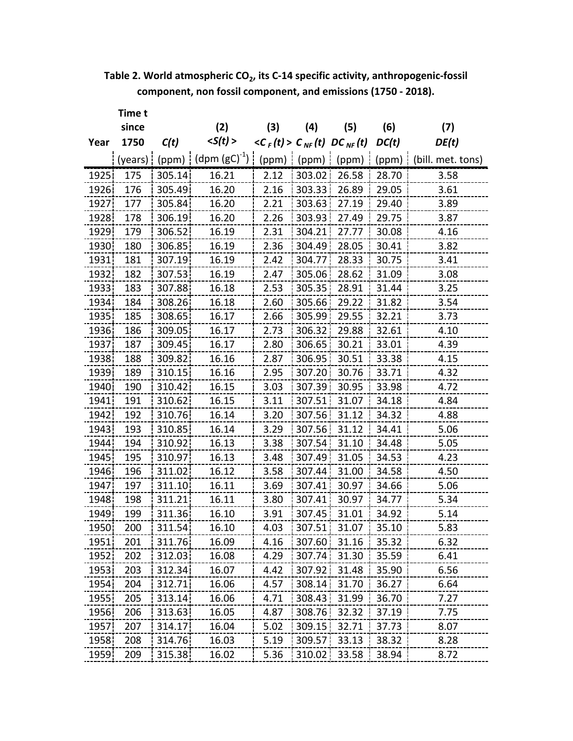| Table 2. World atmospheric CO <sub>2</sub> , its C-14 specific activity, anthropogenic-fossil |  |
|-----------------------------------------------------------------------------------------------|--|
| component, non fossil component, and emissions (1750 - 2018).                                 |  |

|       | Time t  |        |                              |                                      |                     |              |       |                   |
|-------|---------|--------|------------------------------|--------------------------------------|---------------------|--------------|-------|-------------------|
|       | since   |        | (2)                          | (3)                                  | (4)                 | (5)          | (6)   | (7)               |
| Year  | 1750    | C(t)   | < S(t) >                     | $\langle C_{F}(t) \rangle C_{NF}(t)$ |                     | $DC_{NF}(t)$ | DC(t) | DE(t)             |
|       | (years) |        | $(ppm)$   (dpm $(gC)^{-1}$ ) | (ppm)                                | (ppm)               | (ppm)        | (ppm) | (bill. met. tons) |
| 1925  | 175     | 305.14 | 16.21                        | 2.12                                 | 303.02              | 26.58        | 28.70 | 3.58              |
| 1926  | 176     | 305.49 | 16.20                        | 2.16                                 | 303.33 <sup>1</sup> | 26.89        | 29.05 | 3.61              |
| 1927  | 177     | 305.84 | 16.20                        | 2.21                                 | 303.63              | 27.19        | 29.40 | 3.89              |
| 1928  | 178     | 306.19 | 16.20                        | 2.26                                 | 303.93              | 27.49        | 29.75 | 3.87              |
| 1929  | 179     | 306.52 | 16.19                        | 2.31                                 | 304.21              | 27.77        | 30.08 | 4.16              |
| 1930  | 180     | 306.85 | 16.19                        | 2.36                                 | 304.49              | 28.05        | 30.41 | 3.82              |
| 1931  | 181     | 307.19 | 16.19                        | 2.42                                 | 304.77              | 28.33        | 30.75 | 3.41              |
| 1932  | 182     | 307.53 | 16.19                        | 2.47                                 | 305.06              | 28.62        | 31.09 | 3.08              |
| 1933  | 183     | 307.88 | 16.18                        | 2.53                                 | 305.35              | 28.91        | 31.44 | 3.25              |
| 1934  | 184     | 308.26 | 16.18                        | 2.60                                 | 305.66              | 29.22        | 31.82 | 3.54              |
| 1935  | 185     | 308.65 | 16.17                        | 2.66                                 | 305.99              | 29.55        | 32.21 | 3.73              |
| 1936  | 186     | 309.05 | 16.17                        | 2.73                                 | 306.32              | 29.88        | 32.61 | 4.10              |
| 1937  | 187     | 309.45 | 16.17                        | 2.80                                 | 306.65              | 30.21        | 33.01 | 4.39              |
| 1938i | 188     | 309.82 | 16.16                        | 2.87                                 | 306.95              | 30.51        | 33.38 | 4.15              |
| 1939  | 189     | 310.15 | 16.16                        | 2.95                                 | 307.20              | 30.76        | 33.71 | 4.32              |
| 1940  | 190     | 310.42 | 16.15                        | 3.03                                 | 307.39              | 30.95        | 33.98 | 4.72              |
| 1941  | 191     | 310.62 | 16.15                        | 3.11                                 | 307.51              | 31.07        | 34.18 | 4.84              |
| 1942  | 192     | 310.76 | 16.14                        | 3.20                                 | 307.56              | 31.12        | 34.32 | 4.88              |
| 1943  | 193     | 310.85 | 16.14                        | 3.29                                 | 307.56              | 31.12        | 34.41 | 5.06              |
| 1944  | 194     | 310.92 | 16.13                        | 3.38                                 | 307.54              | 31.10        | 34.48 | 5.05              |
| 1945  | 195     | 310.97 | 16.13                        | 3.48                                 | 307.49              | 31.05        | 34.53 | 4.23              |
| 1946  | 196     | 311.02 | 16.12                        | 3.58                                 | 307.44              | 31.00        | 34.58 | 4.50              |
| 1947  | 197     | 311.10 | 16.11                        | 3.69                                 | 307.41              | 30.97        | 34.66 | 5.06              |
| 1948  | 198     | 311.21 | 16.11                        | 3.80                                 | 307.41              | 30.97        | 34.77 | 5.34              |
| 1949  | 199     | 311.36 | 16.10                        | 3.91                                 | 307.45              | 31.01        | 34.92 | 5.14              |
| 1950. | 200     | 311.54 | 16.10                        | 4.U3                                 | 307.51              | 31.07        | 35.10 | 5.83              |
| 1951  | 201     | 311.76 | 16.09                        | 4.16                                 | 307.60              | 31.16        | 35.32 | 6.32              |
| 1952  | 202     | 312.03 | 16.08                        | 4.29                                 | 307.74              | 31.30        | 35.59 | 6.41              |
| 1953  | 203     | 312.34 | 16.07                        | 4.42                                 | 307.92              | 31.48        | 35.90 | 6.56              |
| 1954  | 204     | 312.71 | 16.06                        | 4.57                                 | 308.14              | 31.70        | 36.27 | 6.64              |
| 1955  | 205     | 313.14 | 16.06                        | 4.71                                 | 308.43              | 31.99        | 36.70 | 7.27              |
| 1956  | 206     | 313.63 | 16.05                        | 4.87                                 | 308.76              | 32.32        | 37.19 | 7.75              |
| 1957  | 207     | 314.17 | 16.04                        | 5.02                                 | 309.15              | 32.71        | 37.73 | 8.07              |
| 1958  | 208     | 314.76 | 16.03                        | 5.19                                 | 309.57              | 33.13        | 38.32 | 8.28              |
| 1959  | 209     | 315.38 | 16.02                        | 5.36                                 | 310.02              | 33.58        | 38.94 | 8.72              |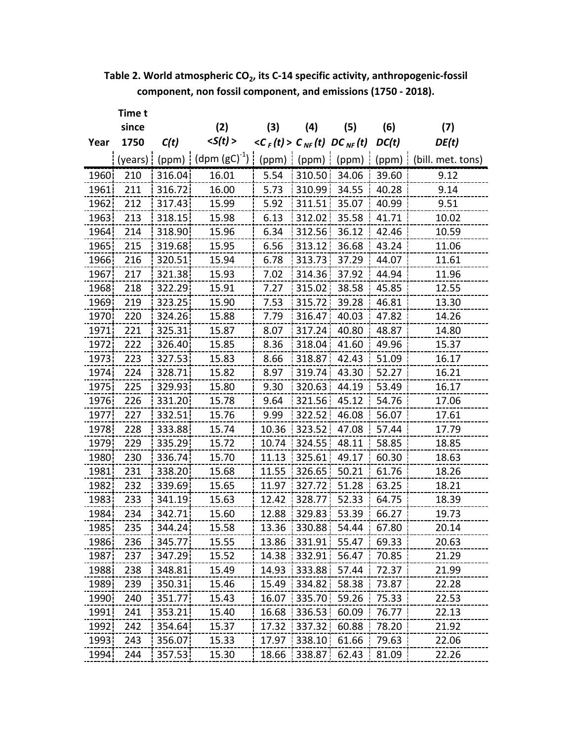| Table 2. World atmospheric CO <sub>2</sub> , its C-14 specific activity, anthropogenic-fossil |  |
|-----------------------------------------------------------------------------------------------|--|
| component, non fossil component, and emissions (1750 - 2018).                                 |  |

|       | Time t  |         |                         |                                      |        |              |       |                   |
|-------|---------|---------|-------------------------|--------------------------------------|--------|--------------|-------|-------------------|
|       | since   |         | (2)                     | (3)                                  | (4)    | (5)          | (6)   | (7)               |
| Year  | 1750    | C(t)    | < S(t) >                | $\langle C_{F}(t) \rangle C_{NF}(t)$ |        | $DC_{NF}(t)$ | DC(t) | DE(t)             |
|       | (years) |         | (ppm) $(dpm (gC)^{-1})$ | (ppm)                                | (ppm)  | (ppm)        | (ppm) | (bill. met. tons) |
| 1960  | 210     | 316.04  | 16.01                   | 5.54                                 | 310.50 | 34.06        | 39.60 | 9.12              |
| 1961  | 211     | 316.72  | 16.00                   | 5.73                                 | 310.99 | 34.55        | 40.28 | 9.14              |
| 1962  | 212     | 317.43  | 15.99                   | 5.92                                 | 311.51 | 35.07        | 40.99 | 9.51              |
| 1963  | 213     | 318.15  | 15.98                   | 6.13                                 | 312.02 | 35.58        | 41.71 | 10.02             |
| 1964  | 214     | 318.90  | 15.96                   | 6.34                                 | 312.56 | 36.12        | 42.46 | 10.59             |
| 1965  | 215     | 319.68  | 15.95                   | 6.56                                 | 313.12 | 36.68        | 43.24 | 11.06             |
| 1966  | 216     | 320.51  | 15.94                   | 6.78                                 | 313.73 | 37.29        | 44.07 | 11.61             |
| 1967  | 217     | 321.38  | 15.93                   | 7.02                                 | 314.36 | 37.92        | 44.94 | 11.96             |
| 1968  | 218     | 322.29  | 15.91                   | 7.27                                 | 315.02 | 38.58        | 45.85 | 12.55             |
| 1969  | 219     | 323.25  | 15.90                   | 7.53                                 | 315.72 | 39.28        | 46.81 | 13.30             |
| 1970  | 220     | 324.26  | 15.88                   | 7.79                                 | 316.47 | 40.03        | 47.82 | 14.26             |
| 1971  | 221     | 325.31  | 15.87                   | 8.07                                 | 317.24 | 40.80        | 48.87 | 14.80             |
| 1972  | 222     | 326.40  | 15.85                   | 8.36                                 | 318.04 | 41.60        | 49.96 | 15.37             |
| 1973  | 223     | 327.53  | 15.83                   | 8.66                                 | 318.87 | 42.43        | 51.09 | 16.17             |
| 1974  | 224     | 328.71  | 15.82                   | 8.97                                 | 319.74 | 43.30        | 52.27 | 16.21             |
| 1975  | 225     | 329.93  | 15.80                   | 9.30                                 | 320.63 | 44.19        | 53.49 | 16.17             |
| 1976  | 226     | 331.20  | 15.78                   | 9.64                                 | 321.56 | 45.12        | 54.76 | 17.06             |
| 1977  | 227     | 332.51  | 15.76                   | 9.99                                 | 322.52 | 46.08        | 56.07 | 17.61             |
| 1978  | 228     | 333.88  | 15.74                   | 10.36                                | 323.52 | 47.08        | 57.44 | 17.79             |
| 1979  | 229     | 335.29  | 15.72                   | 10.74                                | 324.55 | 48.11        | 58.85 | 18.85             |
| 1980  | 230     | 336.74  | 15.70                   | 11.13                                | 325.61 | 49.17        | 60.30 | 18.63             |
| 1981  | 231     | 338.20  | 15.68                   | 11.55                                | 326.65 | 50.21        | 61.76 | 18.26             |
| 1982  | 232     | 339.69  | 15.65                   | 11.97                                | 327.72 | 51.28        | 63.25 | 18.21             |
| 1983  | 233     | 341.19  | 15.63                   | 12.42                                | 328.77 | 52.33        | 64.75 | 18.39             |
| 1984  | 234     | 342.71  | 15.60                   | 12.88                                | 329.83 | 53.39        | 66.27 | 19.73             |
| 1985¦ | 235     | 344.24. | 15.58                   | 13.36                                | 330.88 | 54.44        | 67.80 | 20.14             |
| 1986  | 236     | 345.77  | 15.55                   | 13.86                                | 331.91 | 55.47        | 69.33 | 20.63             |
| 1987  | 237     | 347.29  | 15.52                   | 14.38                                | 332.91 | 56.47        | 70.85 | 21.29             |
| 1988  | 238     | 348.81  | 15.49                   | 14.93                                | 333.88 | 57.44        | 72.37 | 21.99             |
| 1989  | 239     | 350.31  | 15.46                   | 15.49                                | 334.82 | 58.38        | 73.87 | 22.28             |
| 1990  | 240     | 351.77  | 15.43                   | 16.07                                | 335.70 | 59.26        | 75.33 | 22.53             |
| 1991  | 241     | 353.21  | 15.40                   | 16.68                                | 336.53 | 60.09        | 76.77 | 22.13             |
| 1992  | 242     | 354.64  | 15.37                   | 17.32                                | 337.32 | 60.88        | 78.20 | 21.92             |
| 1993  | 243     | 356.07  | 15.33                   | 17.97                                | 338.10 | 61.66        | 79.63 | 22.06             |
| 1994  | 244     | 357.53  | 15.30                   | 18.66                                | 338.87 | 62.43        | 81.09 | 22.26             |